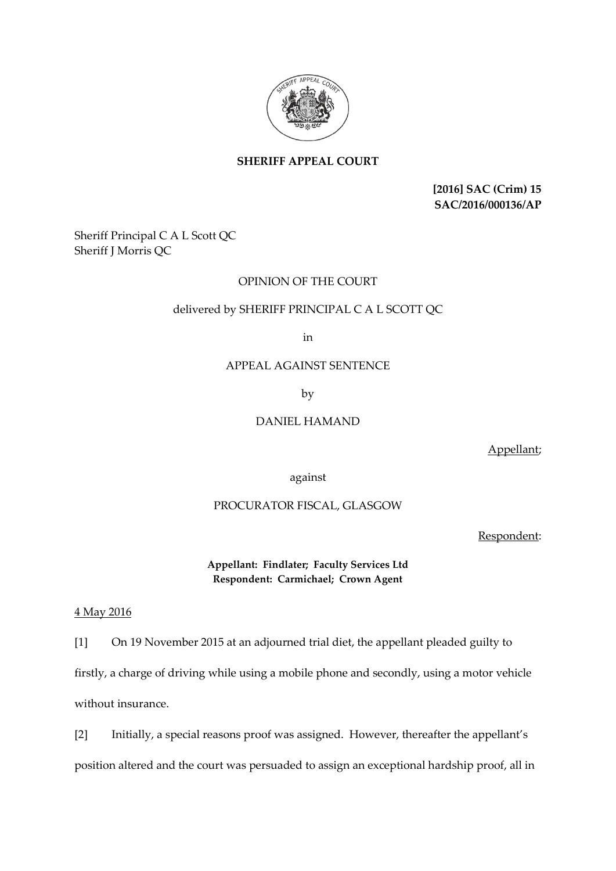

# **SHERIFF APPEAL COURT**

**[2016] SAC (Crim) 15 SAC/2016/000136/AP**

Sheriff Principal C A L Scott QC Sheriff J Morris QC

## OPINION OF THE COURT

### delivered by SHERIFF PRINCIPAL C A L SCOTT QC

in

## APPEAL AGAINST SENTENCE

by

### DANIEL HAMAND

Appellant;

against

# PROCURATOR FISCAL, GLASGOW

Respondent:

**Appellant: Findlater; Faculty Services Ltd Respondent: Carmichael; Crown Agent**

#### 4 May 2016

[1] On 19 November 2015 at an adjourned trial diet, the appellant pleaded guilty to firstly, a charge of driving while using a mobile phone and secondly, using a motor vehicle without insurance.

[2] Initially, a special reasons proof was assigned. However, thereafter the appellant's position altered and the court was persuaded to assign an exceptional hardship proof, all in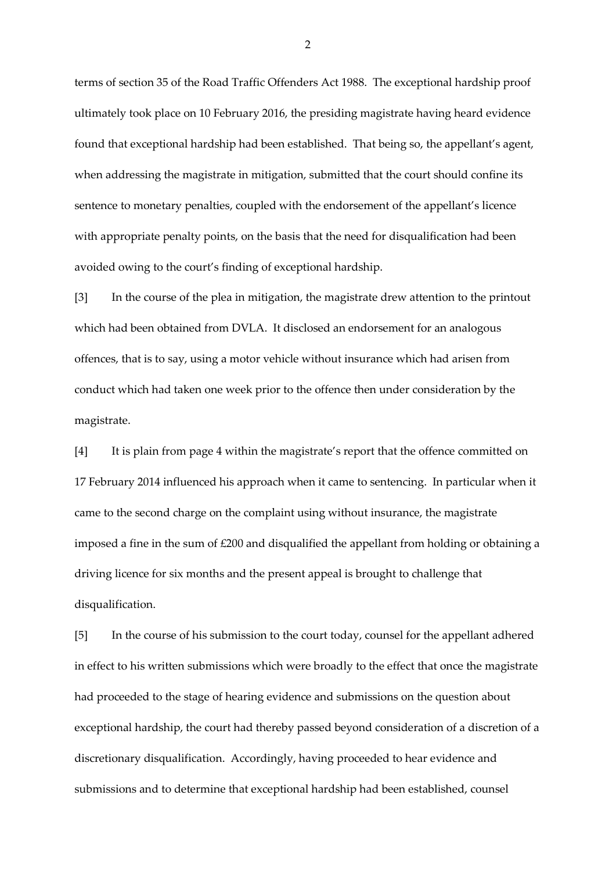terms of section 35 of the Road Traffic Offenders Act 1988. The exceptional hardship proof ultimately took place on 10 February 2016, the presiding magistrate having heard evidence found that exceptional hardship had been established. That being so, the appellant's agent, when addressing the magistrate in mitigation, submitted that the court should confine its sentence to monetary penalties, coupled with the endorsement of the appellant's licence with appropriate penalty points, on the basis that the need for disqualification had been avoided owing to the court's finding of exceptional hardship.

[3] In the course of the plea in mitigation, the magistrate drew attention to the printout which had been obtained from DVLA. It disclosed an endorsement for an analogous offences, that is to say, using a motor vehicle without insurance which had arisen from conduct which had taken one week prior to the offence then under consideration by the magistrate.

[4] It is plain from page 4 within the magistrate's report that the offence committed on 17 February 2014 influenced his approach when it came to sentencing. In particular when it came to the second charge on the complaint using without insurance, the magistrate imposed a fine in the sum of £200 and disqualified the appellant from holding or obtaining a driving licence for six months and the present appeal is brought to challenge that disqualification.

[5] In the course of his submission to the court today, counsel for the appellant adhered in effect to his written submissions which were broadly to the effect that once the magistrate had proceeded to the stage of hearing evidence and submissions on the question about exceptional hardship, the court had thereby passed beyond consideration of a discretion of a discretionary disqualification. Accordingly, having proceeded to hear evidence and submissions and to determine that exceptional hardship had been established, counsel

2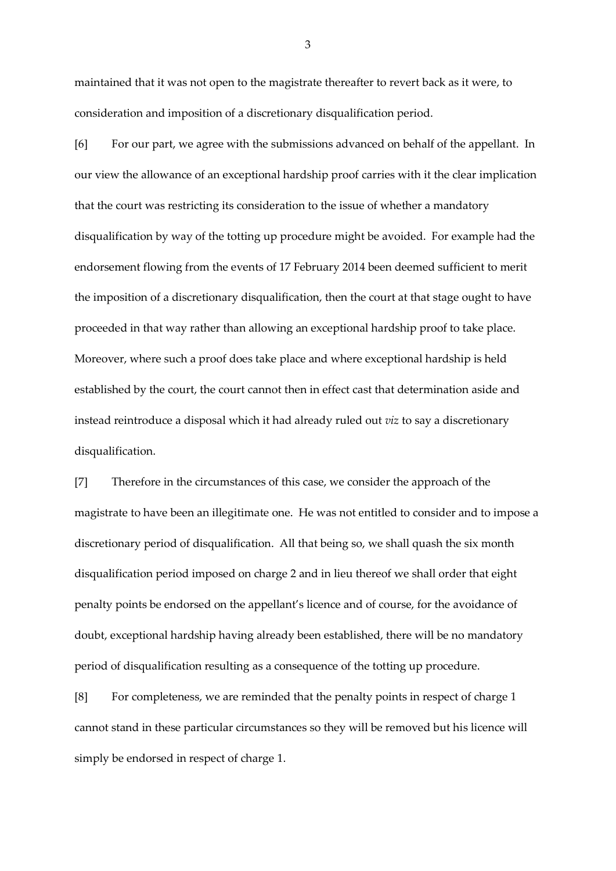maintained that it was not open to the magistrate thereafter to revert back as it were, to consideration and imposition of a discretionary disqualification period.

[6] For our part, we agree with the submissions advanced on behalf of the appellant. In our view the allowance of an exceptional hardship proof carries with it the clear implication that the court was restricting its consideration to the issue of whether a mandatory disqualification by way of the totting up procedure might be avoided. For example had the endorsement flowing from the events of 17 February 2014 been deemed sufficient to merit the imposition of a discretionary disqualification, then the court at that stage ought to have proceeded in that way rather than allowing an exceptional hardship proof to take place. Moreover, where such a proof does take place and where exceptional hardship is held established by the court, the court cannot then in effect cast that determination aside and instead reintroduce a disposal which it had already ruled out *viz* to say a discretionary disqualification.

[7] Therefore in the circumstances of this case, we consider the approach of the magistrate to have been an illegitimate one. He was not entitled to consider and to impose a discretionary period of disqualification. All that being so, we shall quash the six month disqualification period imposed on charge 2 and in lieu thereof we shall order that eight penalty points be endorsed on the appellant's licence and of course, for the avoidance of doubt, exceptional hardship having already been established, there will be no mandatory period of disqualification resulting as a consequence of the totting up procedure.

[8] For completeness, we are reminded that the penalty points in respect of charge 1 cannot stand in these particular circumstances so they will be removed but his licence will simply be endorsed in respect of charge 1.

3